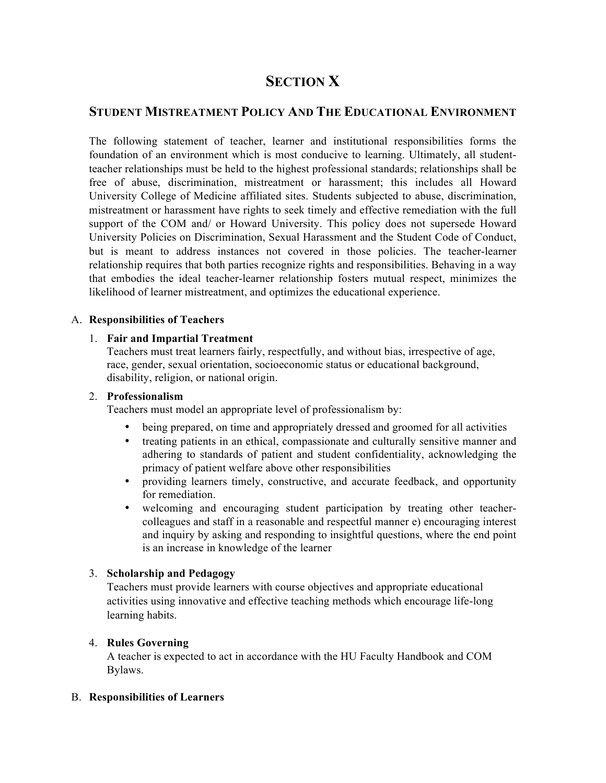# **SECTION X**

# **STUDENT MISTREATMENT POLICY AND THE EDUCATIONAL ENVIRONMENT**

The following statement of teacher, learner and institutional responsibilities forms the foundation of an environment which is most conducive to learning. Ultimately, all studentteacher relationships must be held to the highest professional standards; relationships shall be free of abuse, discrimination, mistreatment or harassment; this includes all Howard University College of Medicine affiliated sites. Students subjected to abuse, discrimination, mistreatment or harassment have rights to seek timely and effective remediation with the full support of the COM and/ or Howard University. This policy does not supersede Howard University Policies on Discrimination, Sexual Harassment and the Student Code of Conduct, but is meant to address instances not covered in those policies. The teacher-learner relationship requires that both parties recognize rights and responsibilities. Behaving in a way that embodies the ideal teacher-learner relationship fosters mutual respect, minimizes the likelihood of learner mistreatment, and optimizes the educational experience.

#### A. **Responsibilities of Teachers**

#### 1. **Fair and Impartial Treatment**

Teachers must treat learners fairly, respectfully, and without bias, irrespective of age, race, gender, sexual orientation, socioeconomic status or educational background, disability, religion, or national origin.

#### 2. **Professionalism**

Teachers must model an appropriate level of professionalism by:

- being prepared, on time and appropriately dressed and groomed for all activities
- treating patients in an ethical, compassionate and culturally sensitive manner and adhering to standards of patient and student confidentiality, acknowledging the primacy of patient welfare above other responsibilities
- providing learners timely, constructive, and accurate feedback, and opportunity for remediation.
- welcoming and encouraging student participation by treating other teachercolleagues and staff in a reasonable and respectful manner e) encouraging interest and inquiry by asking and responding to insightful questions, where the end point is an increase in knowledge of the learner

## 3. **Scholarship and Pedagogy**

Teachers must provide learners with course objectives and appropriate educational activities using innovative and effective teaching methods which encourage life-long learning habits.

## 4. **Rules Governing**

A teacher is expected to act in accordance with the HU Faculty Handbook and COM Bylaws.

#### B. **Responsibilities of Learners**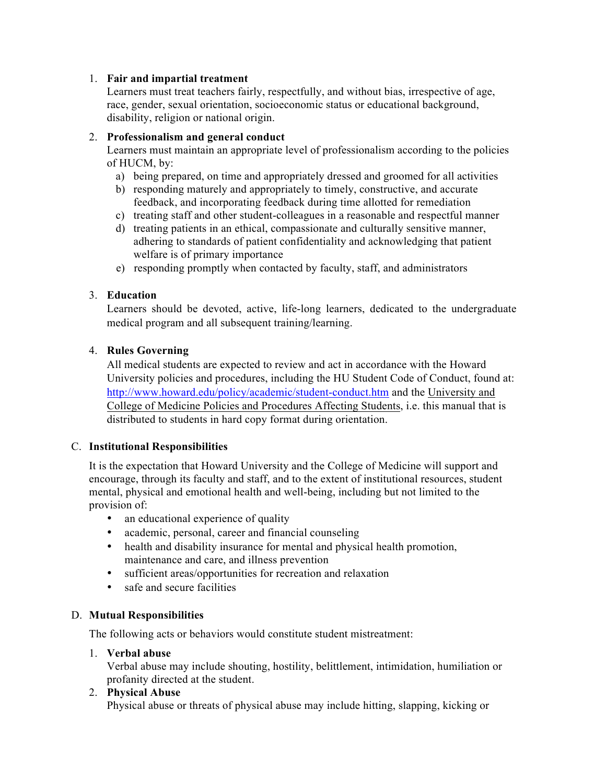## 1. **Fair and impartial treatment**

Learners must treat teachers fairly, respectfully, and without bias, irrespective of age, race, gender, sexual orientation, socioeconomic status or educational background, disability, religion or national origin.

## 2. **Professionalism and general conduct**

Learners must maintain an appropriate level of professionalism according to the policies of HUCM, by:

- a) being prepared, on time and appropriately dressed and groomed for all activities
- b) responding maturely and appropriately to timely, constructive, and accurate feedback, and incorporating feedback during time allotted for remediation
- c) treating staff and other student-colleagues in a reasonable and respectful manner
- d) treating patients in an ethical, compassionate and culturally sensitive manner, adhering to standards of patient confidentiality and acknowledging that patient welfare is of primary importance
- e) responding promptly when contacted by faculty, staff, and administrators

# 3. **Education**

Learners should be devoted, active, life-long learners, dedicated to the undergraduate medical program and all subsequent training/learning.

# 4. **Rules Governing**

All medical students are expected to review and act in accordance with the Howard University policies and procedures, including the HU Student Code of Conduct, found at: http://www.howard.edu/policy/academic/student-conduct.htm and the University and College of Medicine Policies and Procedures Affecting Students, i.e. this manual that is distributed to students in hard copy format during orientation.

## C. **Institutional Responsibilities**

It is the expectation that Howard University and the College of Medicine will support and encourage, through its faculty and staff, and to the extent of institutional resources, student mental, physical and emotional health and well-being, including but not limited to the provision of:

- an educational experience of quality
- academic, personal, career and financial counseling
- health and disability insurance for mental and physical health promotion, maintenance and care, and illness prevention
- sufficient areas/opportunities for recreation and relaxation
- safe and secure facilities

## D. **Mutual Responsibilities**

The following acts or behaviors would constitute student mistreatment:

## 1. **Verbal abuse**

Verbal abuse may include shouting, hostility, belittlement, intimidation, humiliation or profanity directed at the student.

## 2. **Physical Abuse**

Physical abuse or threats of physical abuse may include hitting, slapping, kicking or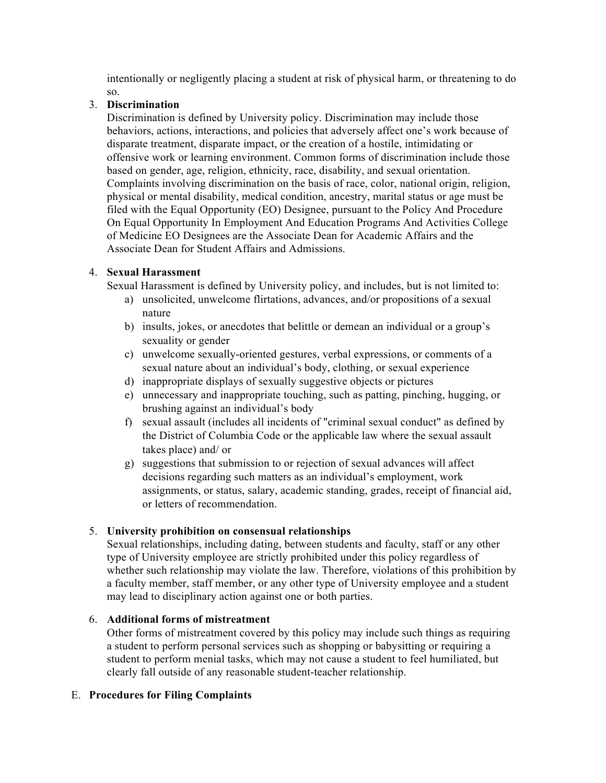intentionally or negligently placing a student at risk of physical harm, or threatening to do so.

# 3. **Discrimination**

Discrimination is defined by University policy. Discrimination may include those behaviors, actions, interactions, and policies that adversely affect one's work because of disparate treatment, disparate impact, or the creation of a hostile, intimidating or offensive work or learning environment. Common forms of discrimination include those based on gender, age, religion, ethnicity, race, disability, and sexual orientation. Complaints involving discrimination on the basis of race, color, national origin, religion, physical or mental disability, medical condition, ancestry, marital status or age must be filed with the Equal Opportunity (EO) Designee, pursuant to the Policy And Procedure On Equal Opportunity In Employment And Education Programs And Activities College of Medicine EO Designees are the Associate Dean for Academic Affairs and the Associate Dean for Student Affairs and Admissions.

# 4. **Sexual Harassment**

Sexual Harassment is defined by University policy, and includes, but is not limited to:

- a) unsolicited, unwelcome flirtations, advances, and/or propositions of a sexual nature
- b) insults, jokes, or anecdotes that belittle or demean an individual or a group's sexuality or gender
- c) unwelcome sexually-oriented gestures, verbal expressions, or comments of a sexual nature about an individual's body, clothing, or sexual experience
- d) inappropriate displays of sexually suggestive objects or pictures
- e) unnecessary and inappropriate touching, such as patting, pinching, hugging, or brushing against an individual's body
- f) sexual assault (includes all incidents of "criminal sexual conduct" as defined by the District of Columbia Code or the applicable law where the sexual assault takes place) and/ or
- g) suggestions that submission to or rejection of sexual advances will affect decisions regarding such matters as an individual's employment, work assignments, or status, salary, academic standing, grades, receipt of financial aid, or letters of recommendation.

## 5. **University prohibition on consensual relationships**

Sexual relationships, including dating, between students and faculty, staff or any other type of University employee are strictly prohibited under this policy regardless of whether such relationship may violate the law. Therefore, violations of this prohibition by a faculty member, staff member, or any other type of University employee and a student may lead to disciplinary action against one or both parties.

## 6. **Additional forms of mistreatment**

Other forms of mistreatment covered by this policy may include such things as requiring a student to perform personal services such as shopping or babysitting or requiring a student to perform menial tasks, which may not cause a student to feel humiliated, but clearly fall outside of any reasonable student-teacher relationship.

## E. **Procedures for Filing Complaints**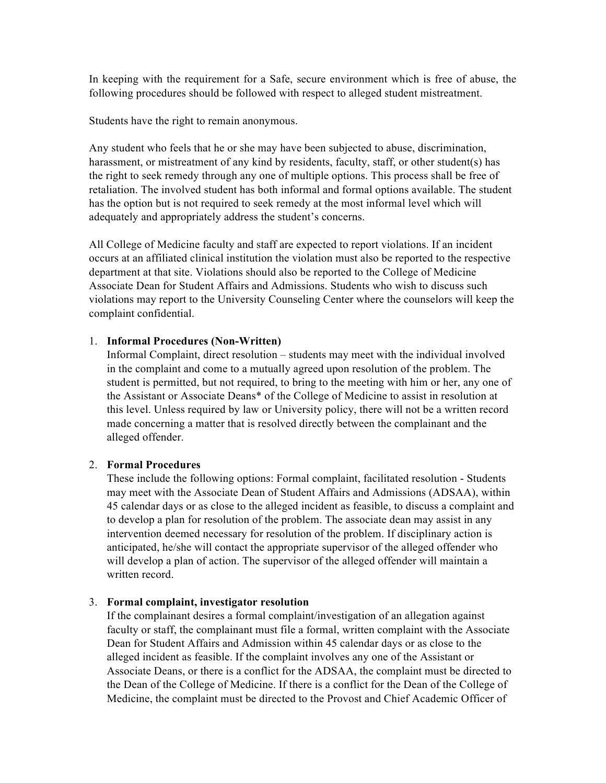In keeping with the requirement for a Safe, secure environment which is free of abuse, the following procedures should be followed with respect to alleged student mistreatment.

Students have the right to remain anonymous.

Any student who feels that he or she may have been subjected to abuse, discrimination, harassment, or mistreatment of any kind by residents, faculty, staff, or other student(s) has the right to seek remedy through any one of multiple options. This process shall be free of retaliation. The involved student has both informal and formal options available. The student has the option but is not required to seek remedy at the most informal level which will adequately and appropriately address the student's concerns.

All College of Medicine faculty and staff are expected to report violations. If an incident occurs at an affiliated clinical institution the violation must also be reported to the respective department at that site. Violations should also be reported to the College of Medicine Associate Dean for Student Affairs and Admissions. Students who wish to discuss such violations may report to the University Counseling Center where the counselors will keep the complaint confidential.

#### 1. **Informal Procedures (Non-Written)**

Informal Complaint, direct resolution – students may meet with the individual involved in the complaint and come to a mutually agreed upon resolution of the problem. The student is permitted, but not required, to bring to the meeting with him or her, any one of the Assistant or Associate Deans\* of the College of Medicine to assist in resolution at this level. Unless required by law or University policy, there will not be a written record made concerning a matter that is resolved directly between the complainant and the alleged offender.

#### 2. **Formal Procedures**

These include the following options: Formal complaint, facilitated resolution - Students may meet with the Associate Dean of Student Affairs and Admissions (ADSAA), within 45 calendar days or as close to the alleged incident as feasible, to discuss a complaint and to develop a plan for resolution of the problem. The associate dean may assist in any intervention deemed necessary for resolution of the problem. If disciplinary action is anticipated, he/she will contact the appropriate supervisor of the alleged offender who will develop a plan of action. The supervisor of the alleged offender will maintain a written record.

#### 3. **Formal complaint, investigator resolution**

If the complainant desires a formal complaint/investigation of an allegation against faculty or staff, the complainant must file a formal, written complaint with the Associate Dean for Student Affairs and Admission within 45 calendar days or as close to the alleged incident as feasible. If the complaint involves any one of the Assistant or Associate Deans, or there is a conflict for the ADSAA, the complaint must be directed to the Dean of the College of Medicine. If there is a conflict for the Dean of the College of Medicine, the complaint must be directed to the Provost and Chief Academic Officer of